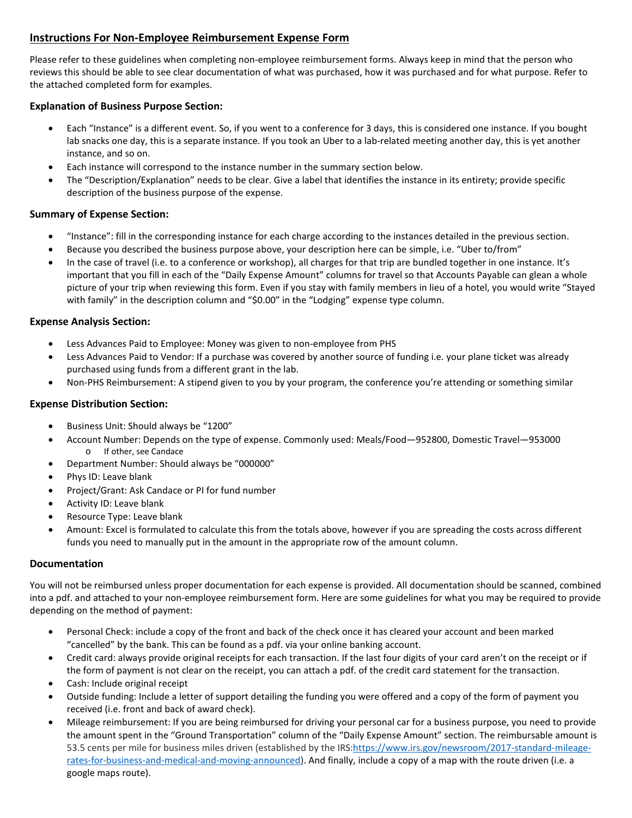# **Instructions For Non-Employee Reimbursement Expense Form**

Please refer to these guidelines when completing non-employee reimbursement forms. Always keep in mind that the person who reviews this should be able to see clear documentation of what was purchased, how it was purchased and for what purpose. Refer to the attached completed form for examples.

## **Explanation of Business Purpose Section:**

- Each "Instance" is a different event. So, if you went to a conference for 3 days, this is considered one instance. If you bought lab snacks one day, this is a separate instance. If you took an Uber to a lab-related meeting another day, this is yet another instance, and so on.
- Each instance will correspond to the instance number in the summary section below.
- The "Description/Explanation" needs to be clear. Give a label that identifies the instance in its entirety; provide specific description of the business purpose of the expense.

### **Summary of Expense Section:**

- "Instance": fill in the corresponding instance for each charge according to the instances detailed in the previous section.
- Because you described the business purpose above, your description here can be simple, i.e. "Uber to/from"
- In the case of travel (i.e. to a conference or workshop), all charges for that trip are bundled together in one instance. It's important that you fill in each of the "Daily Expense Amount" columns for travel so that Accounts Payable can glean a whole picture of your trip when reviewing this form. Even if you stay with family members in lieu of a hotel, you would write "Stayed with family" in the description column and "\$0.00" in the "Lodging" expense type column.

#### **Expense Analysis Section:**

- Less Advances Paid to Employee: Money was given to non-employee from PHS
- Less Advances Paid to Vendor: If a purchase was covered by another source of funding i.e. your plane ticket was already purchased using funds from a different grant in the lab.
- Non-PHS Reimbursement: A stipend given to you by your program, the conference you're attending or something similar

### **Expense Distribution Section:**

- Business Unit: Should always be "1200"
- Account Number: Depends on the type of expense. Commonly used: Meals/Food—952800, Domestic Travel—953000 o If other, see Candace
- Department Number: Should always be "000000"
- Phys ID: Leave blank
- Project/Grant: Ask Candace or PI for fund number
- Activity ID: Leave blank
- Resource Type: Leave blank
- Amount: Excel is formulated to calculate this from the totals above, however if you are spreading the costs across different funds you need to manually put in the amount in the appropriate row of the amount column.

#### **Documentation**

You will not be reimbursed unless proper documentation for each expense is provided. All documentation should be scanned, combined into a pdf. and attached to your non-employee reimbursement form. Here are some guidelines for what you may be required to provide depending on the method of payment:

- Personal Check: include a copy of the front and back of the check once it has cleared your account and been marked "cancelled" by the bank. This can be found as a pdf. via your online banking account.
- Credit card: always provide original receipts for each transaction. If the last four digits of your card aren't on the receipt or if the form of payment is not clear on the receipt, you can attach a pdf. of the credit card statement for the transaction.
- Cash: Include original receipt
- Outside funding: Include a letter of support detailing the funding you were offered and a copy of the form of payment you received (i.e. front and back of award check).
- Mileage reimbursement: If you are being reimbursed for driving your personal car for a business purpose, you need to provide the amount spent in the "Ground Transportation" column of the "Daily Expense Amount" section. The reimbursable amount is 53.5 cents per mile for business miles driven (established by the IRS[:https://www.irs.gov/newsroom/2017-standard-mileage](https://www.irs.gov/newsroom/2017-standard-mileage-rates-for-business-and-medical-and-moving-announced)[rates-for-business-and-medical-and-moving-announced\)](https://www.irs.gov/newsroom/2017-standard-mileage-rates-for-business-and-medical-and-moving-announced). And finally, include a copy of a map with the route driven (i.e. a google maps route).